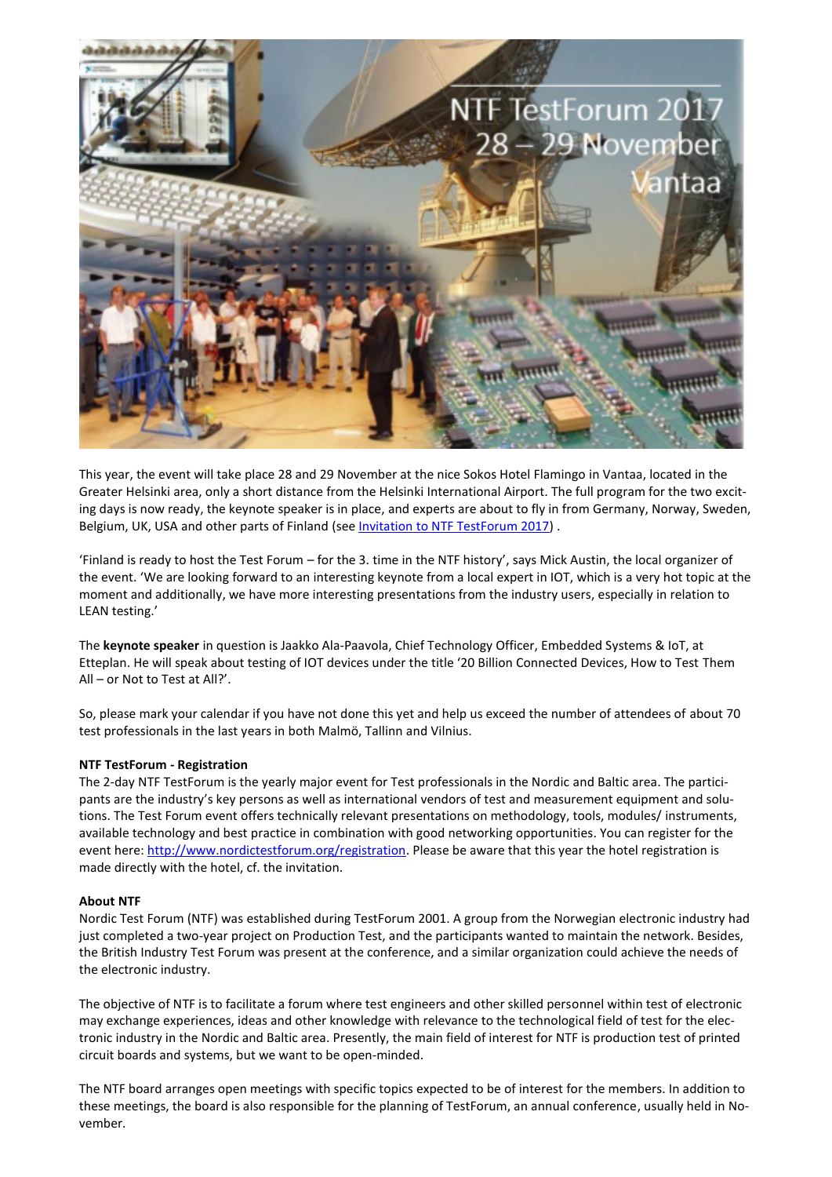

This year, the event will take place 28 and 29 November at the nice Sokos Hotel Flamingo in Vantaa, located in the Greater Helsinki area, only a short distance from the Helsinki International Airport. The full program for the two exciting days is now ready, the keynote speaker is in place, and experts are about to fly in from Germany, Norway, Sweden, Belgium, UK, USA and other parts of Finland (see [Invitation to NTF TestForum 2017\)](http://en.ep-teq.com/media/89596/testforum_2017_invitation.pdf) .

'Finland is ready to host the Test Forum – for the 3. time in the NTF history', says Mick Austin, the local organizer of the event. 'We are looking forward to an interesting keynote from a local expert in IOT, which is a very hot topic at the moment and additionally, we have more interesting presentations from the industry users, especially in relation to LEAN testing.'

The **keynote speaker** in question is Jaakko Ala-Paavola, Chief Technology Officer, Embedded Systems & IoT, at Etteplan. He will speak about testing of IOT devices under the title '20 Billion Connected Devices, How to Test Them All – or Not to Test at All?'.

So, please mark your calendar if you have not done this yet and help us exceed the number of attendees of about 70 test professionals in the last years in both Malmö, Tallinn and Vilnius.

## **NTF TestForum - Registration**

The 2-day NTF TestForum is the yearly major event for Test professionals in the Nordic and Baltic area. The participants are the industry's key persons as well as international vendors of test and measurement equipment and solutions. The Test Forum event offers technically relevant presentations on methodology, tools, modules/ instruments, available technology and best practice in combination with good networking opportunities. You can register for the event here[: http://www.nordictestforum.org/registration.](http://www.nordictestforum.org/registration) Please be aware that this year the hotel registration is made directly with the hotel, cf. the invitation.

## **About NTF**

Nordic Test Forum (NTF) was established during TestForum 2001. A group from the Norwegian electronic industry had just completed a two-year project on Production Test, and the participants wanted to maintain the network. Besides, the British Industry Test Forum was present at the conference, and a similar organization could achieve the needs of the electronic industry.

The objective of NTF is to facilitate a forum where test engineers and other skilled personnel within test of electronic may exchange experiences, ideas and other knowledge with relevance to the technological field of test for the electronic industry in the Nordic and Baltic area. Presently, the main field of interest for NTF is production test of printed circuit boards and systems, but we want to be open-minded.

The NTF board arranges open meetings with specific topics expected to be of interest for the members. In addition to these meetings, the board is also responsible for the planning of TestForum, an annual conference, usually held in November.